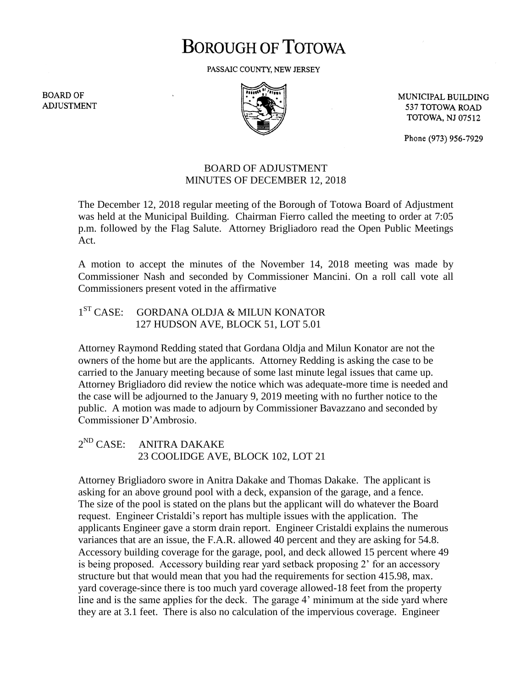# **BOROUGH OF TOTOWA**

PASSAIC COUNTY, NEW JERSEY

**BOARD OF ADJUSTMENT** 



MUNICIPAL BUILDING 537 TOTOWA ROAD **TOTOWA, NJ 07512** 

Phone (973) 956-7929

## BOARD OF ADJUSTMENT MINUTES OF DECEMBER 12, 2018

The December 12, 2018 regular meeting of the Borough of Totowa Board of Adjustment was held at the Municipal Building. Chairman Fierro called the meeting to order at 7:05 p.m. followed by the Flag Salute. Attorney Brigliadoro read the Open Public Meetings Act.

A motion to accept the minutes of the November 14, 2018 meeting was made by Commissioner Nash and seconded by Commissioner Mancini. On a roll call vote all Commissioners present voted in the affirmative

#### $1^{ST}$  CASE: GORDANA OLDJA & MILUN KONATOR 127 HUDSON AVE, BLOCK 51, LOT 5.01

Attorney Raymond Redding stated that Gordana Oldja and Milun Konator are not the owners of the home but are the applicants. Attorney Redding is asking the case to be carried to the January meeting because of some last minute legal issues that came up. Attorney Brigliadoro did review the notice which was adequate-more time is needed and the case will be adjourned to the January 9, 2019 meeting with no further notice to the public. A motion was made to adjourn by Commissioner Bavazzano and seconded by Commissioner D'Ambrosio.

### $2^{ND}$  CASE: ANITRA DAKAKE 23 COOLIDGE AVE, BLOCK 102, LOT 21

Attorney Brigliadoro swore in Anitra Dakake and Thomas Dakake. The applicant is asking for an above ground pool with a deck, expansion of the garage, and a fence. The size of the pool is stated on the plans but the applicant will do whatever the Board request. Engineer Cristaldi's report has multiple issues with the application. The applicants Engineer gave a storm drain report. Engineer Cristaldi explains the numerous variances that are an issue, the F.A.R. allowed 40 percent and they are asking for 54.8. Accessory building coverage for the garage, pool, and deck allowed 15 percent where 49 is being proposed. Accessory building rear yard setback proposing 2' for an accessory structure but that would mean that you had the requirements for section 415.98, max. yard coverage-since there is too much yard coverage allowed-18 feet from the property line and is the same applies for the deck. The garage 4' minimum at the side yard where they are at 3.1 feet. There is also no calculation of the impervious coverage. Engineer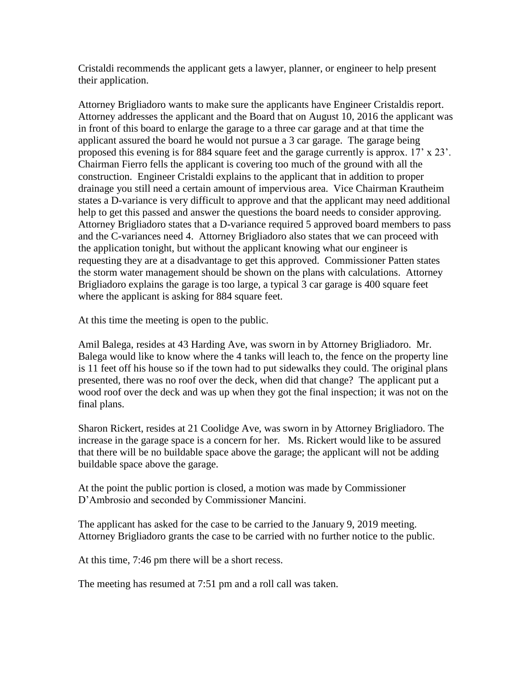Cristaldi recommends the applicant gets a lawyer, planner, or engineer to help present their application.

Attorney Brigliadoro wants to make sure the applicants have Engineer Cristaldis report. Attorney addresses the applicant and the Board that on August 10, 2016 the applicant was in front of this board to enlarge the garage to a three car garage and at that time the applicant assured the board he would not pursue a 3 car garage. The garage being proposed this evening is for 884 square feet and the garage currently is approx. 17' x 23'. Chairman Fierro fells the applicant is covering too much of the ground with all the construction. Engineer Cristaldi explains to the applicant that in addition to proper drainage you still need a certain amount of impervious area. Vice Chairman Krautheim states a D-variance is very difficult to approve and that the applicant may need additional help to get this passed and answer the questions the board needs to consider approving. Attorney Brigliadoro states that a D-variance required 5 approved board members to pass and the C-variances need 4. Attorney Brigliadoro also states that we can proceed with the application tonight, but without the applicant knowing what our engineer is requesting they are at a disadvantage to get this approved. Commissioner Patten states the storm water management should be shown on the plans with calculations. Attorney Brigliadoro explains the garage is too large, a typical 3 car garage is 400 square feet where the applicant is asking for 884 square feet.

At this time the meeting is open to the public.

Amil Balega, resides at 43 Harding Ave, was sworn in by Attorney Brigliadoro. Mr. Balega would like to know where the 4 tanks will leach to, the fence on the property line is 11 feet off his house so if the town had to put sidewalks they could. The original plans presented, there was no roof over the deck, when did that change? The applicant put a wood roof over the deck and was up when they got the final inspection; it was not on the final plans.

Sharon Rickert, resides at 21 Coolidge Ave, was sworn in by Attorney Brigliadoro. The increase in the garage space is a concern for her. Ms. Rickert would like to be assured that there will be no buildable space above the garage; the applicant will not be adding buildable space above the garage.

At the point the public portion is closed, a motion was made by Commissioner D'Ambrosio and seconded by Commissioner Mancini.

The applicant has asked for the case to be carried to the January 9, 2019 meeting. Attorney Brigliadoro grants the case to be carried with no further notice to the public.

At this time, 7:46 pm there will be a short recess.

The meeting has resumed at 7:51 pm and a roll call was taken.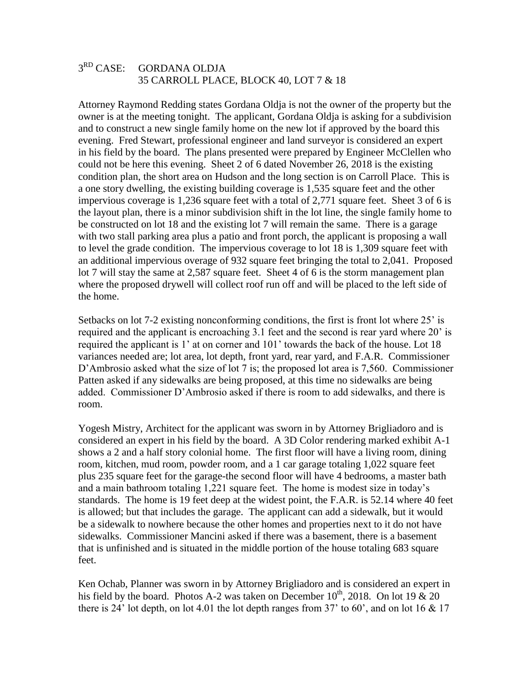### $3<sup>RD</sup>$  CASE: GORDANA OLDJA 35 CARROLL PLACE, BLOCK 40, LOT 7 & 18

Attorney Raymond Redding states Gordana Oldja is not the owner of the property but the owner is at the meeting tonight. The applicant, Gordana Oldja is asking for a subdivision and to construct a new single family home on the new lot if approved by the board this evening. Fred Stewart, professional engineer and land surveyor is considered an expert in his field by the board. The plans presented were prepared by Engineer McClellen who could not be here this evening. Sheet 2 of 6 dated November 26, 2018 is the existing condition plan, the short area on Hudson and the long section is on Carroll Place. This is a one story dwelling, the existing building coverage is 1,535 square feet and the other impervious coverage is 1,236 square feet with a total of 2,771 square feet. Sheet 3 of 6 is the layout plan, there is a minor subdivision shift in the lot line, the single family home to be constructed on lot 18 and the existing lot 7 will remain the same. There is a garage with two stall parking area plus a patio and front porch, the applicant is proposing a wall to level the grade condition. The impervious coverage to lot 18 is 1,309 square feet with an additional impervious overage of 932 square feet bringing the total to 2,041. Proposed lot 7 will stay the same at 2,587 square feet. Sheet 4 of 6 is the storm management plan where the proposed drywell will collect roof run off and will be placed to the left side of the home.

Setbacks on lot 7-2 existing nonconforming conditions, the first is front lot where 25' is required and the applicant is encroaching 3.1 feet and the second is rear yard where 20' is required the applicant is 1' at on corner and 101' towards the back of the house. Lot 18 variances needed are; lot area, lot depth, front yard, rear yard, and F.A.R. Commissioner D'Ambrosio asked what the size of lot 7 is; the proposed lot area is 7,560. Commissioner Patten asked if any sidewalks are being proposed, at this time no sidewalks are being added. Commissioner D'Ambrosio asked if there is room to add sidewalks, and there is room.

Yogesh Mistry, Architect for the applicant was sworn in by Attorney Brigliadoro and is considered an expert in his field by the board. A 3D Color rendering marked exhibit A-1 shows a 2 and a half story colonial home. The first floor will have a living room, dining room, kitchen, mud room, powder room, and a 1 car garage totaling 1,022 square feet plus 235 square feet for the garage-the second floor will have 4 bedrooms, a master bath and a main bathroom totaling 1,221 square feet. The home is modest size in today's standards. The home is 19 feet deep at the widest point, the F.A.R. is 52.14 where 40 feet is allowed; but that includes the garage. The applicant can add a sidewalk, but it would be a sidewalk to nowhere because the other homes and properties next to it do not have sidewalks. Commissioner Mancini asked if there was a basement, there is a basement that is unfinished and is situated in the middle portion of the house totaling 683 square feet.

Ken Ochab, Planner was sworn in by Attorney Brigliadoro and is considered an expert in his field by the board. Photos A-2 was taken on December  $10^{th}$ , 2018. On lot 19  $\&$  20 there is 24' lot depth, on lot 4.01 the lot depth ranges from 37' to 60', and on lot 16  $& 17$